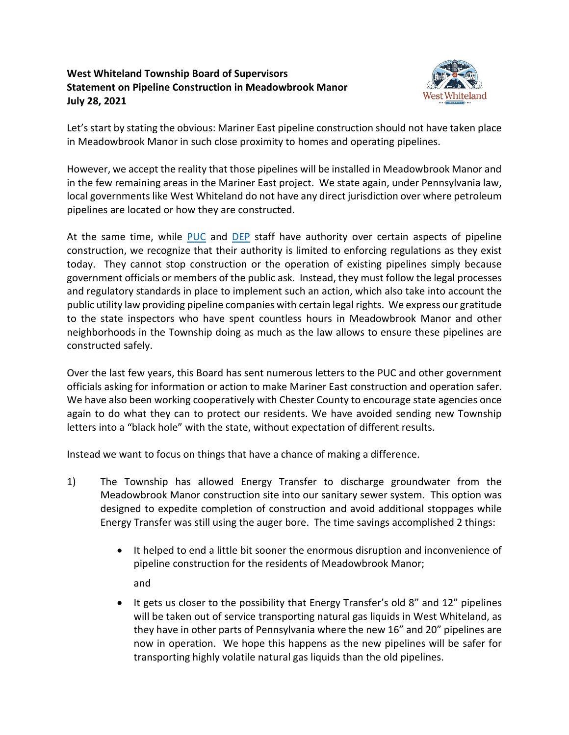## **West Whiteland Township Board of Supervisors Statement on Pipeline Construction in Meadowbrook Manor July 28, 2021**



Let's start by stating the obvious: Mariner East pipeline construction should not have taken place in Meadowbrook Manor in such close proximity to homes and operating pipelines.

However, we accept the reality that those pipelines will be installed in Meadowbrook Manor and in the few remaining areas in the Mariner East project. We state again, under Pennsylvania law, local governments like West Whiteland do not have any direct jurisdiction over where petroleum pipelines are located or how they are constructed.

At the same time, while [PUC](https://www.puc.pa.gov/pipeline/pipeline-safety/) and [DEP](https://www.dep.pa.gov/Business/ProgramIntegration/Pennsylvania-Pipeline-Portal/pages/mariner-east-ii.aspx) staff have authority over certain aspects of pipeline construction, we recognize that their authority is limited to enforcing regulations as they exist today. They cannot stop construction or the operation of existing pipelines simply because government officials or members of the public ask. Instead, they must follow the legal processes and regulatory standards in place to implement such an action, which also take into account the public utility law providing pipeline companies with certain legal rights. We express our gratitude to the state inspectors who have spent countless hours in Meadowbrook Manor and other neighborhoods in the Township doing as much as the law allows to ensure these pipelines are constructed safely.

Over the last few years, this Board has sent numerous letters to the PUC and other government officials asking for information or action to make Mariner East construction and operation safer. We have also been working cooperatively with Chester County to encourage state agencies once again to do what they can to protect our residents. We have avoided sending new Township letters into a "black hole" with the state, without expectation of different results.

Instead we want to focus on things that have a chance of making a difference.

- 1) The Township has allowed Energy Transfer to discharge groundwater from the Meadowbrook Manor construction site into our sanitary sewer system. This option was designed to expedite completion of construction and avoid additional stoppages while Energy Transfer was still using the auger bore. The time savings accomplished 2 things:
	- It helped to end a little bit sooner the enormous disruption and inconvenience of pipeline construction for the residents of Meadowbrook Manor; and
	- It gets us closer to the possibility that Energy Transfer's old 8" and 12" pipelines will be taken out of service transporting natural gas liquids in West Whiteland, as they have in other parts of Pennsylvania where the new 16" and 20" pipelines are now in operation. We hope this happens as the new pipelines will be safer for transporting highly volatile natural gas liquids than the old pipelines.